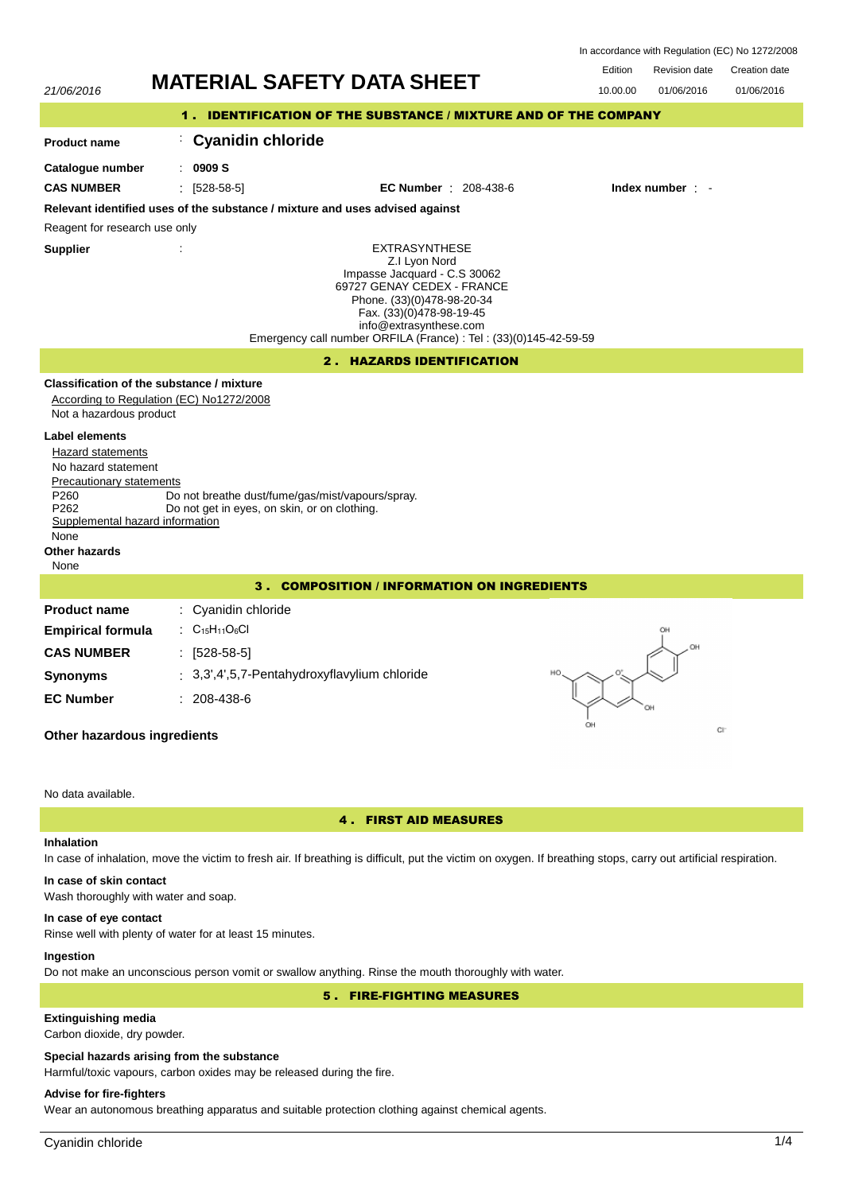| In accordance with Regulation (EC) No 1272/2008 |  |  |  |
|-------------------------------------------------|--|--|--|
|-------------------------------------------------|--|--|--|



# **Inhalation**

In case of inhalation, move the victim to fresh air. If breathing is difficult, put the victim on oxygen. If breathing stops, carry out artificial respiration.

# **In case of skin contact**

Wash thoroughly with water and soap.

## **In case of eye contact**

Rinse well with plenty of water for at least 15 minutes.

## **Ingestion**

Do not make an unconscious person vomit or swallow anything. Rinse the mouth thoroughly with water.

5 . FIRE-FIGHTING MEASURES

# **Extinguishing media**

Carbon dioxide, dry powder.

## **Special hazards arising from the substance**

Harmful/toxic vapours, carbon oxides may be released during the fire.

# **Advise for fire-fighters**

Wear an autonomous breathing apparatus and suitable protection clothing against chemical agents.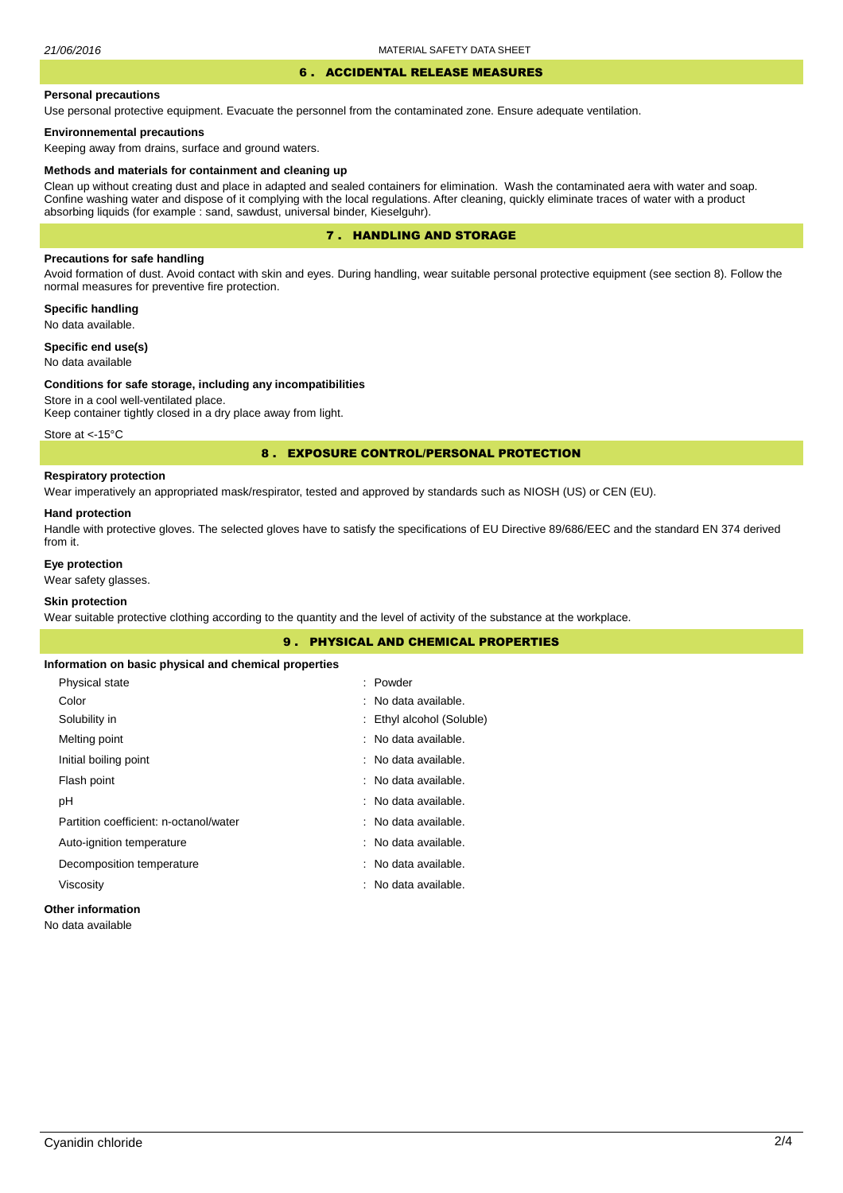#### 6 . ACCIDENTAL RELEASE MEASURES

#### **Personal precautions**

Use personal protective equipment. Evacuate the personnel from the contaminated zone. Ensure adequate ventilation.

#### **Environnemental precautions**

Keeping away from drains, surface and ground waters.

#### **Methods and materials for containment and cleaning up**

Clean up without creating dust and place in adapted and sealed containers for elimination. Wash the contaminated aera with water and soap. Confine washing water and dispose of it complying with the local regulations. After cleaning, quickly eliminate traces of water with a product absorbing liquids (for example : sand, sawdust, universal binder, Kieselguhr).

## 7 . HANDLING AND STORAGE

## **Precautions for safe handling**

Avoid formation of dust. Avoid contact with skin and eyes. During handling, wear suitable personal protective equipment (see section 8). Follow the normal measures for preventive fire protection.

**Specific handling** No data available.

**Specific end use(s)**

# No data available

#### **Conditions for safe storage, including any incompatibilities**

Store in a cool well-ventilated place. Keep container tightly closed in a dry place away from light.

Store at <-15°C

#### 8 . EXPOSURE CONTROL/PERSONAL PROTECTION

## **Respiratory protection**

Wear imperatively an appropriated mask/respirator, tested and approved by standards such as NIOSH (US) or CEN (EU).

#### **Hand protection**

Handle with protective gloves. The selected gloves have to satisfy the specifications of EU Directive 89/686/EEC and the standard EN 374 derived from it.

## **Eye protection**

Wear safety glasses.

## **Skin protection**

Wear suitable protective clothing according to the quantity and the level of activity of the substance at the workplace.

| <b>PHYSICAL AND CHEMICAL PROPERTIES</b><br>9.         |                           |  |  |  |
|-------------------------------------------------------|---------------------------|--|--|--|
| Information on basic physical and chemical properties |                           |  |  |  |
| Physical state                                        | : Powder                  |  |  |  |
| Color                                                 | : No data available.      |  |  |  |
| Solubility in                                         | : Ethyl alcohol (Soluble) |  |  |  |
| Melting point                                         | : No data available.      |  |  |  |
| Initial boiling point                                 | : No data available.      |  |  |  |
| Flash point                                           | : No data available.      |  |  |  |
| рH                                                    | : No data available.      |  |  |  |
| Partition coefficient: n-octanol/water                | : No data available.      |  |  |  |
| Auto-ignition temperature                             | : No data available.      |  |  |  |
| Decomposition temperature                             | : No data available.      |  |  |  |
| Viscosity                                             | : No data available.      |  |  |  |
| Arthur and the function of the con-                   |                           |  |  |  |

## **Other information**

No data available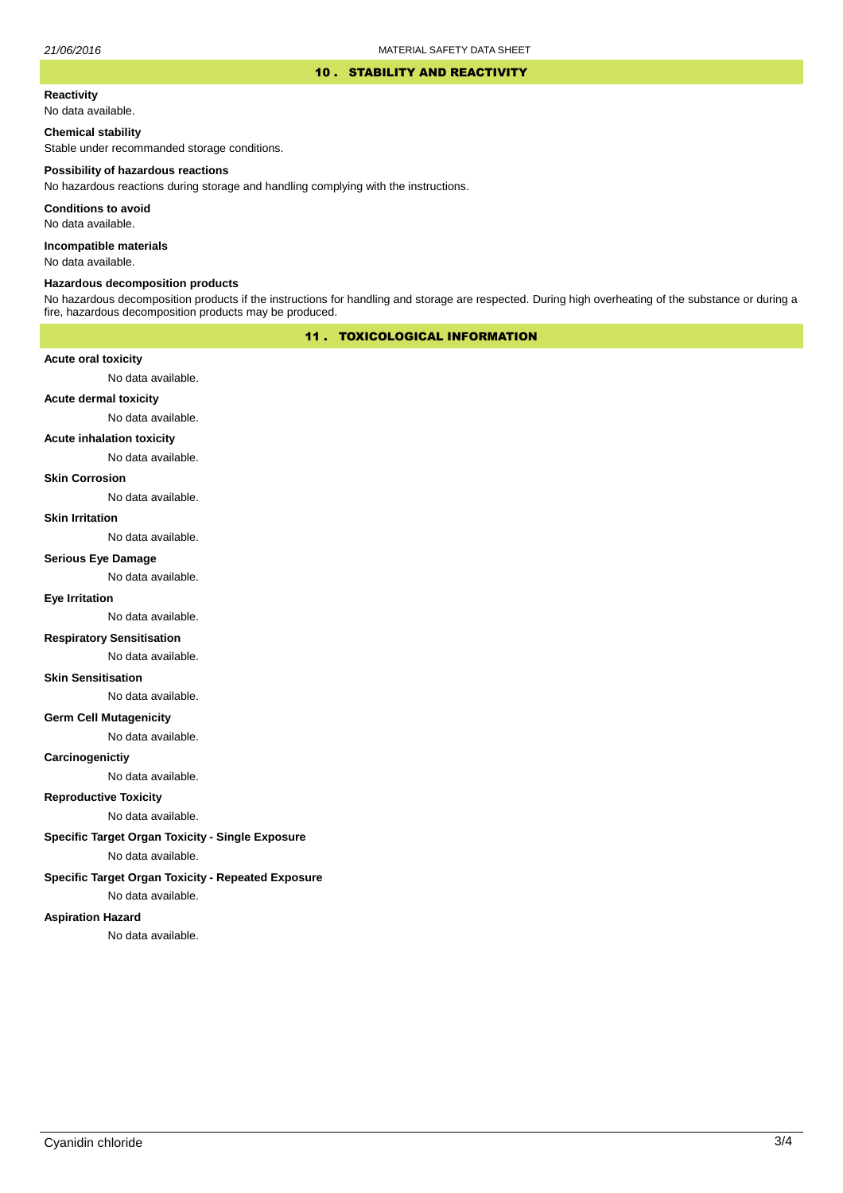#### 10 . STABILITY AND REACTIVITY

# **Reactivity**

No data available.

## **Chemical stability**

Stable under recommanded storage conditions.

#### **Possibility of hazardous reactions**

No hazardous reactions during storage and handling complying with the instructions.

**Conditions to avoid**

No data available.

**Incompatible materials**

No data available.

#### **Hazardous decomposition products**

No hazardous decomposition products if the instructions for handling and storage are respected. During high overheating of the substance or during a fire, hazardous decomposition products may be produced.

# 11 . TOXICOLOGICAL INFORMATION

## **Acute oral toxicity**

No data available.

# **Acute dermal toxicity**

No data available.

## **Acute inhalation toxicity**

No data available.

## **Skin Corrosion**

No data available.

#### **Skin Irritation**

No data available.

#### **Serious Eye Damage**

No data available.

# **Eye Irritation**

No data available.

## **Respiratory Sensitisation**

No data available.

#### **Skin Sensitisation**

No data available.

## **Germ Cell Mutagenicity**

No data available.

## **Carcinogenictiy**

No data available.

# **Reproductive Toxicity**

No data available.

# **Specific Target Organ Toxicity - Single Exposure**

No data available.

## **Specific Target Organ Toxicity - Repeated Exposure**

No data available.

#### **Aspiration Hazard**

No data available.